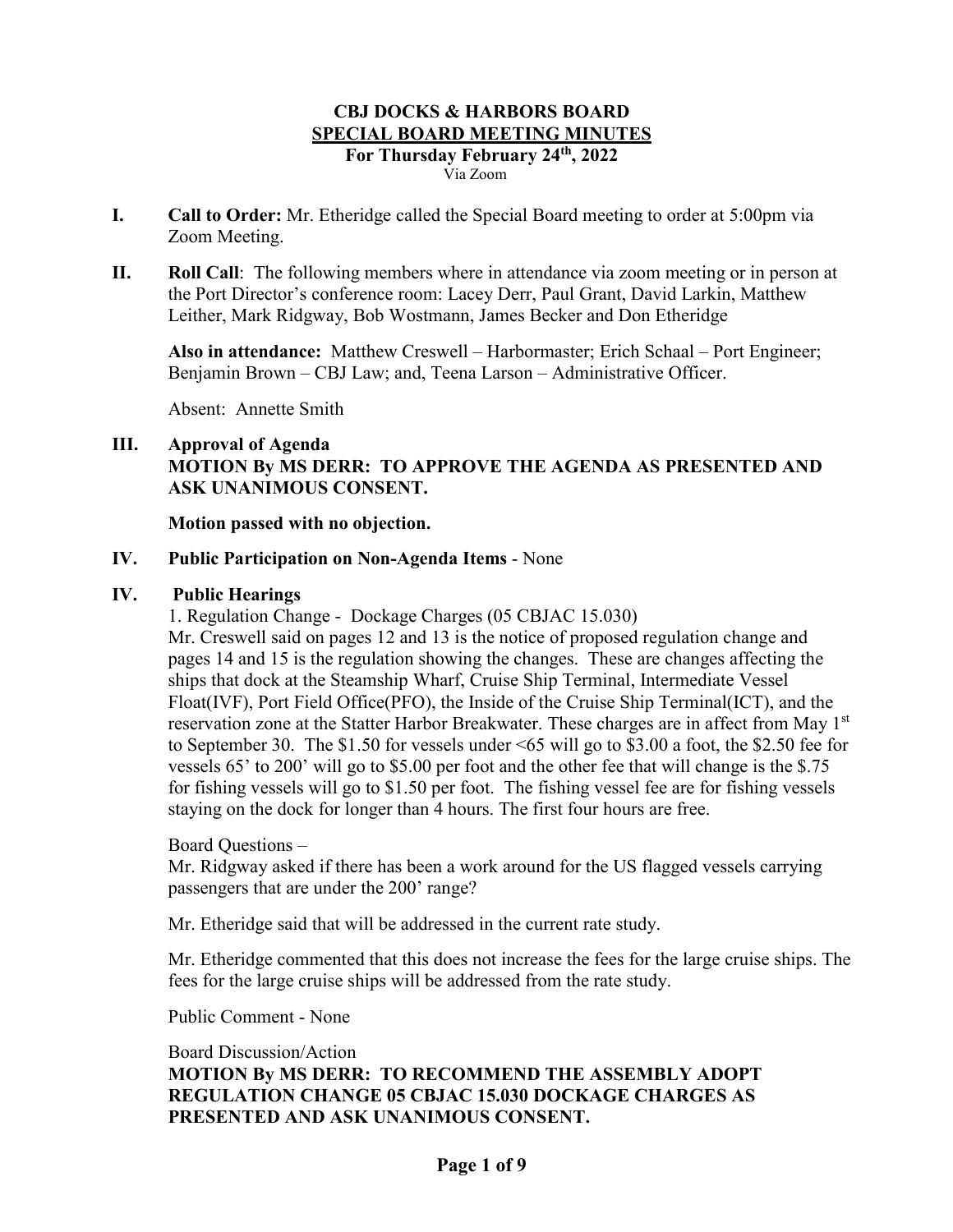- **I. Call to Order:** Mr. Etheridge called the Special Board meeting to order at 5:00pm via Zoom Meeting.
- **II. Roll Call**: The following members where in attendance via zoom meeting or in person at the Port Director's conference room: Lacey Derr, Paul Grant, David Larkin, Matthew Leither, Mark Ridgway, Bob Wostmann, James Becker and Don Etheridge

**Also in attendance:** Matthew Creswell – Harbormaster; Erich Schaal – Port Engineer; Benjamin Brown – CBJ Law; and, Teena Larson – Administrative Officer.

Absent: Annette Smith

### **III. Approval of Agenda**

# **MOTION By MS DERR: TO APPROVE THE AGENDA AS PRESENTED AND ASK UNANIMOUS CONSENT.**

### **Motion passed with no objection.**

### **IV. Public Participation on Non-Agenda Items** - None

### **IV. Public Hearings**

1. Regulation Change - Dockage Charges (05 CBJAC 15.030)

Mr. Creswell said on pages 12 and 13 is the notice of proposed regulation change and pages 14 and 15 is the regulation showing the changes. These are changes affecting the ships that dock at the Steamship Wharf, Cruise Ship Terminal, Intermediate Vessel Float(IVF), Port Field Office(PFO), the Inside of the Cruise Ship Terminal(ICT), and the reservation zone at the Statter Harbor Breakwater. These charges are in affect from May 1<sup>st</sup> to September 30. The \$1.50 for vessels under <65 will go to \$3.00 a foot, the \$2.50 fee for vessels 65' to 200' will go to \$5.00 per foot and the other fee that will change is the \$.75 for fishing vessels will go to \$1.50 per foot. The fishing vessel fee are for fishing vessels staying on the dock for longer than 4 hours. The first four hours are free.

#### Board Questions –

Mr. Ridgway asked if there has been a work around for the US flagged vessels carrying passengers that are under the 200' range?

Mr. Etheridge said that will be addressed in the current rate study.

Mr. Etheridge commented that this does not increase the fees for the large cruise ships. The fees for the large cruise ships will be addressed from the rate study.

Public Comment - None

Board Discussion/Action

**MOTION By MS DERR: TO RECOMMEND THE ASSEMBLY ADOPT REGULATION CHANGE 05 CBJAC 15.030 DOCKAGE CHARGES AS PRESENTED AND ASK UNANIMOUS CONSENT.**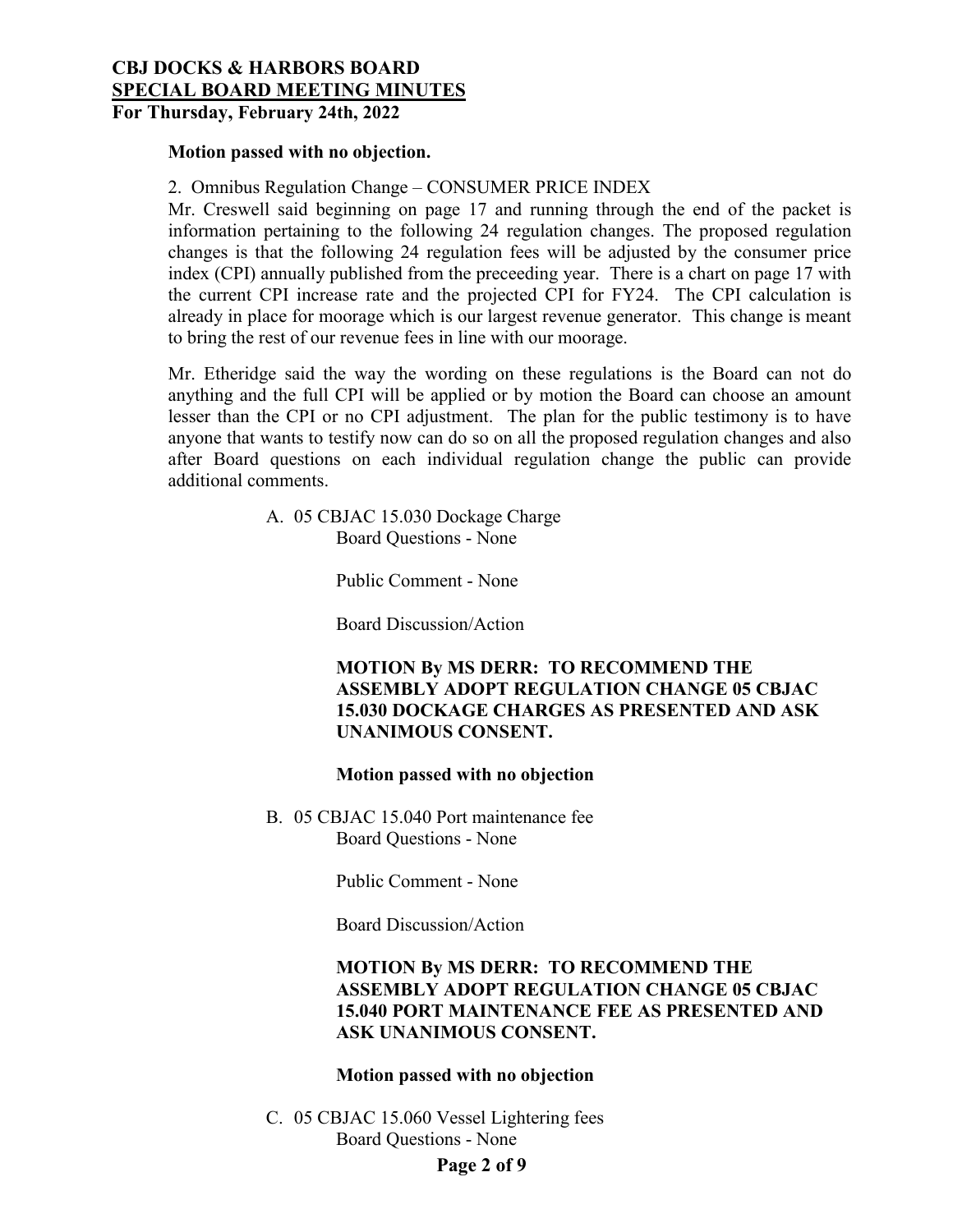# **Motion passed with no objection.**

### 2. Omnibus Regulation Change – CONSUMER PRICE INDEX

Mr. Creswell said beginning on page 17 and running through the end of the packet is information pertaining to the following 24 regulation changes. The proposed regulation changes is that the following 24 regulation fees will be adjusted by the consumer price index (CPI) annually published from the preceeding year. There is a chart on page 17 with the current CPI increase rate and the projected CPI for FY24. The CPI calculation is already in place for moorage which is our largest revenue generator. This change is meant to bring the rest of our revenue fees in line with our moorage.

Mr. Etheridge said the way the wording on these regulations is the Board can not do anything and the full CPI will be applied or by motion the Board can choose an amount lesser than the CPI or no CPI adjustment. The plan for the public testimony is to have anyone that wants to testify now can do so on all the proposed regulation changes and also after Board questions on each individual regulation change the public can provide additional comments.

> A. 05 CBJAC 15.030 Dockage Charge Board Questions - None

> > Public Comment - None

Board Discussion/Action

### **MOTION By MS DERR: TO RECOMMEND THE ASSEMBLY ADOPT REGULATION CHANGE 05 CBJAC 15.030 DOCKAGE CHARGES AS PRESENTED AND ASK UNANIMOUS CONSENT.**

#### **Motion passed with no objection**

B. 05 CBJAC 15.040 Port maintenance fee Board Questions - None

Public Comment - None

Board Discussion/Action

# **MOTION By MS DERR: TO RECOMMEND THE ASSEMBLY ADOPT REGULATION CHANGE 05 CBJAC 15.040 PORT MAINTENANCE FEE AS PRESENTED AND ASK UNANIMOUS CONSENT.**

#### **Motion passed with no objection**

C. 05 CBJAC 15.060 Vessel Lightering fees Board Questions - None

### **Page 2 of 9**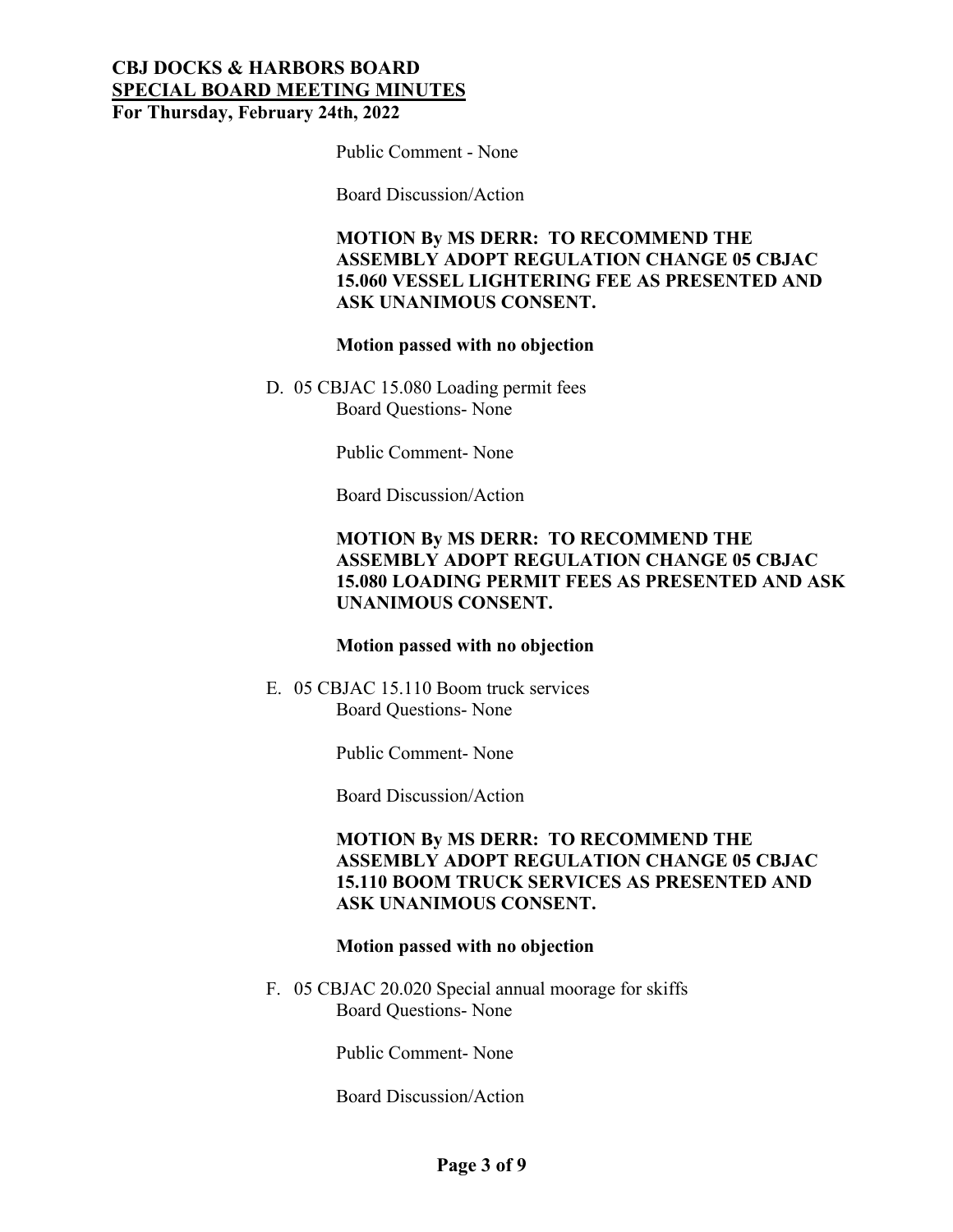Public Comment - None

Board Discussion/Action

**MOTION By MS DERR: TO RECOMMEND THE ASSEMBLY ADOPT REGULATION CHANGE 05 CBJAC 15.060 VESSEL LIGHTERING FEE AS PRESENTED AND ASK UNANIMOUS CONSENT.**

### **Motion passed with no objection**

D. 05 CBJAC 15.080 Loading permit fees Board Questions- None

Public Comment- None

Board Discussion/Action

# **MOTION By MS DERR: TO RECOMMEND THE ASSEMBLY ADOPT REGULATION CHANGE 05 CBJAC 15.080 LOADING PERMIT FEES AS PRESENTED AND ASK UNANIMOUS CONSENT.**

#### **Motion passed with no objection**

E. 05 CBJAC 15.110 Boom truck services Board Questions- None

Public Comment- None

Board Discussion/Action

# **MOTION By MS DERR: TO RECOMMEND THE ASSEMBLY ADOPT REGULATION CHANGE 05 CBJAC 15.110 BOOM TRUCK SERVICES AS PRESENTED AND ASK UNANIMOUS CONSENT.**

### **Motion passed with no objection**

F. 05 CBJAC 20.020 Special annual moorage for skiffs Board Questions- None

Public Comment- None

Board Discussion/Action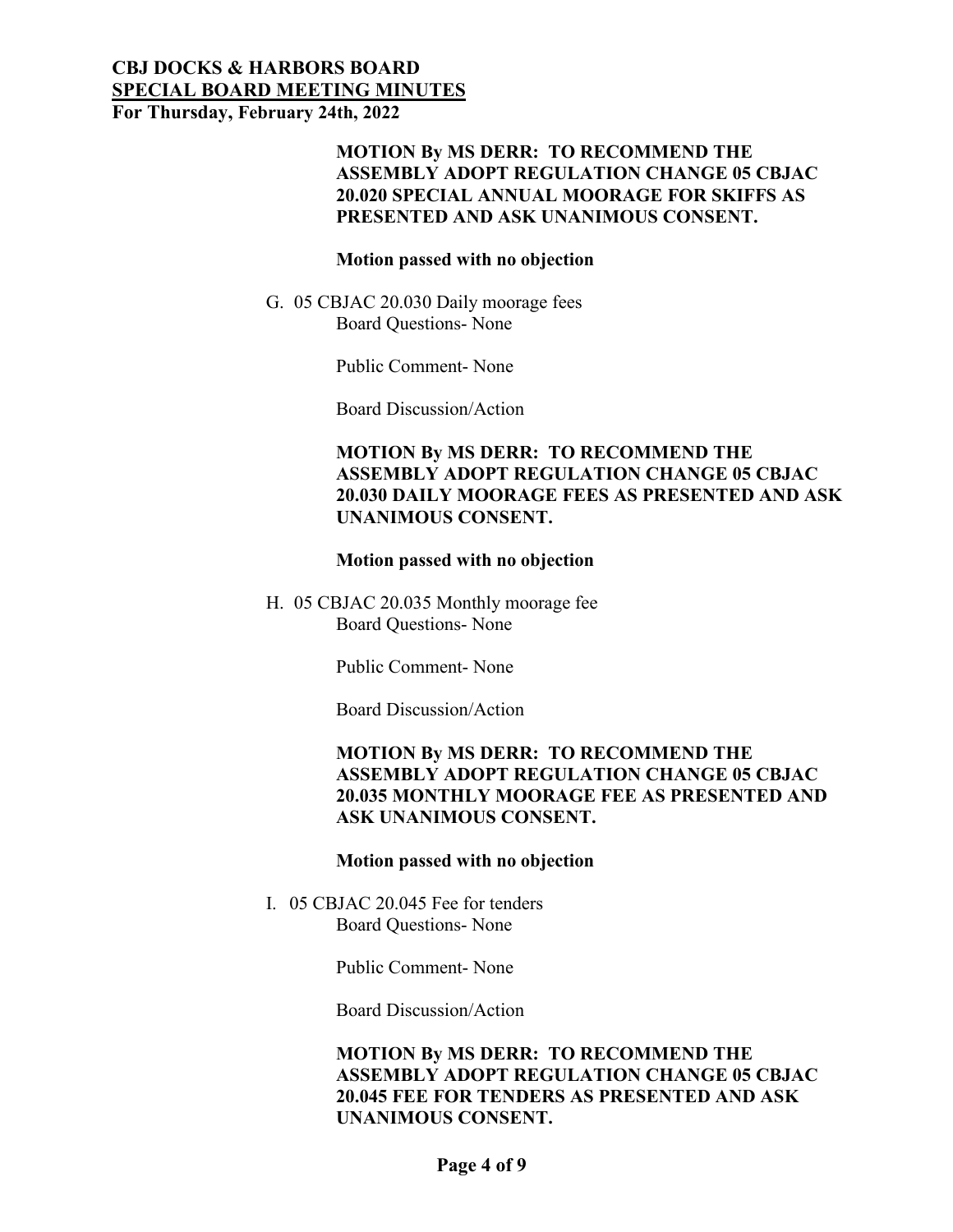# **CBJ DOCKS & HARBORS BOARD SPECIAL BOARD MEETING MINUTES**

**For Thursday, February 24th, 2022**

### **MOTION By MS DERR: TO RECOMMEND THE ASSEMBLY ADOPT REGULATION CHANGE 05 CBJAC 20.020 SPECIAL ANNUAL MOORAGE FOR SKIFFS AS PRESENTED AND ASK UNANIMOUS CONSENT.**

#### **Motion passed with no objection**

G. 05 CBJAC 20.030 Daily moorage fees Board Questions- None

Public Comment- None

Board Discussion/Action

# **MOTION By MS DERR: TO RECOMMEND THE ASSEMBLY ADOPT REGULATION CHANGE 05 CBJAC 20.030 DAILY MOORAGE FEES AS PRESENTED AND ASK UNANIMOUS CONSENT.**

### **Motion passed with no objection**

H. 05 CBJAC 20.035 Monthly moorage fee Board Questions- None

Public Comment- None

Board Discussion/Action

# **MOTION By MS DERR: TO RECOMMEND THE ASSEMBLY ADOPT REGULATION CHANGE 05 CBJAC 20.035 MONTHLY MOORAGE FEE AS PRESENTED AND ASK UNANIMOUS CONSENT.**

### **Motion passed with no objection**

I. 05 CBJAC 20.045 Fee for tenders Board Questions- None

Public Comment- None

Board Discussion/Action

# **MOTION By MS DERR: TO RECOMMEND THE ASSEMBLY ADOPT REGULATION CHANGE 05 CBJAC 20.045 FEE FOR TENDERS AS PRESENTED AND ASK UNANIMOUS CONSENT.**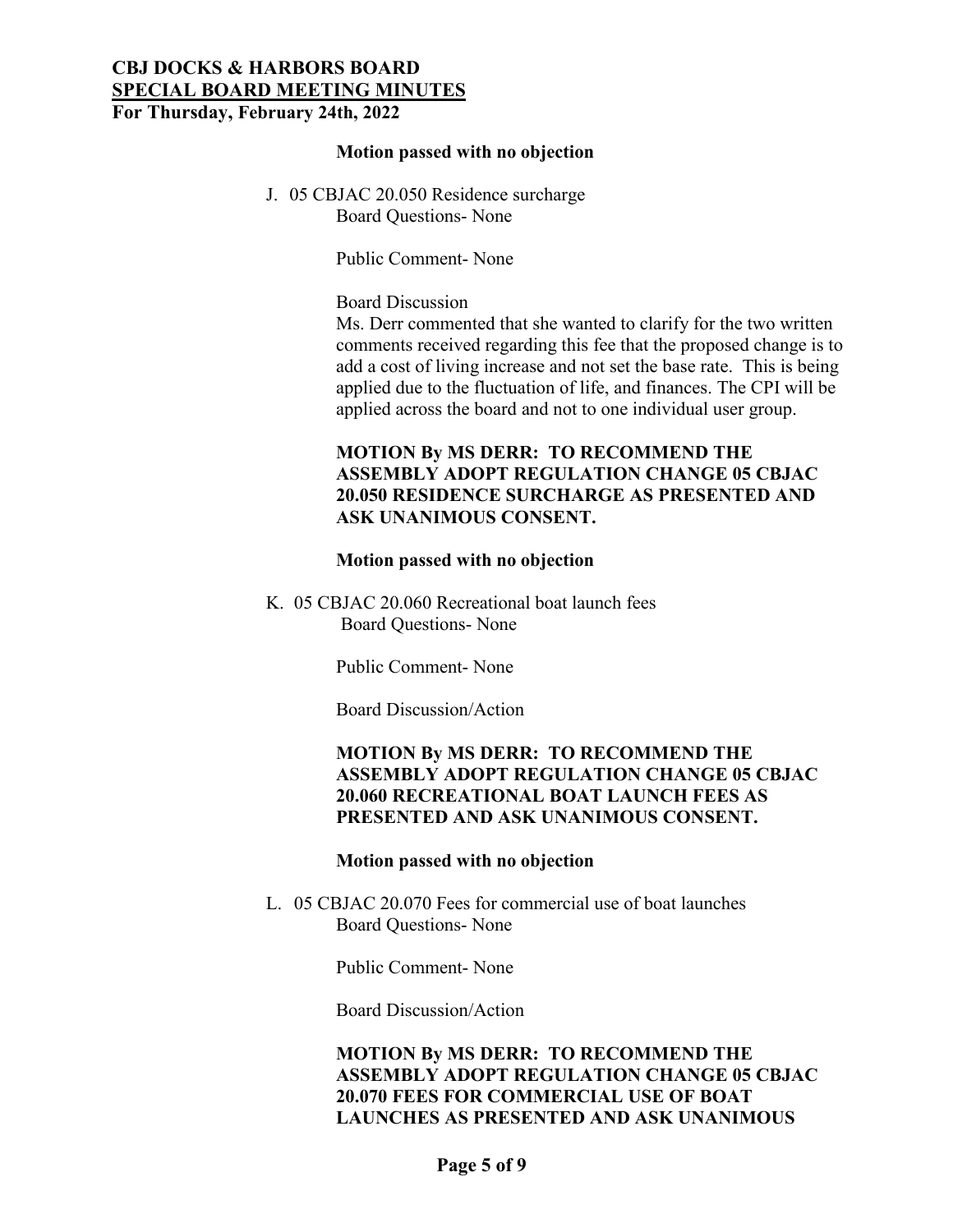#### **Motion passed with no objection**

J. 05 CBJAC 20.050 Residence surcharge Board Questions- None

Public Comment- None

### Board Discussion

Ms. Derr commented that she wanted to clarify for the two written comments received regarding this fee that the proposed change is to add a cost of living increase and not set the base rate. This is being applied due to the fluctuation of life, and finances. The CPI will be applied across the board and not to one individual user group.

# **MOTION By MS DERR: TO RECOMMEND THE ASSEMBLY ADOPT REGULATION CHANGE 05 CBJAC 20.050 RESIDENCE SURCHARGE AS PRESENTED AND ASK UNANIMOUS CONSENT.**

#### **Motion passed with no objection**

K. 05 CBJAC 20.060 Recreational boat launch fees Board Questions- None

Public Comment- None

Board Discussion/Action

### **MOTION By MS DERR: TO RECOMMEND THE ASSEMBLY ADOPT REGULATION CHANGE 05 CBJAC 20.060 RECREATIONAL BOAT LAUNCH FEES AS PRESENTED AND ASK UNANIMOUS CONSENT.**

#### **Motion passed with no objection**

L. 05 CBJAC 20.070 Fees for commercial use of boat launches Board Questions- None

Public Comment- None

Board Discussion/Action

# **MOTION By MS DERR: TO RECOMMEND THE ASSEMBLY ADOPT REGULATION CHANGE 05 CBJAC 20.070 FEES FOR COMMERCIAL USE OF BOAT LAUNCHES AS PRESENTED AND ASK UNANIMOUS**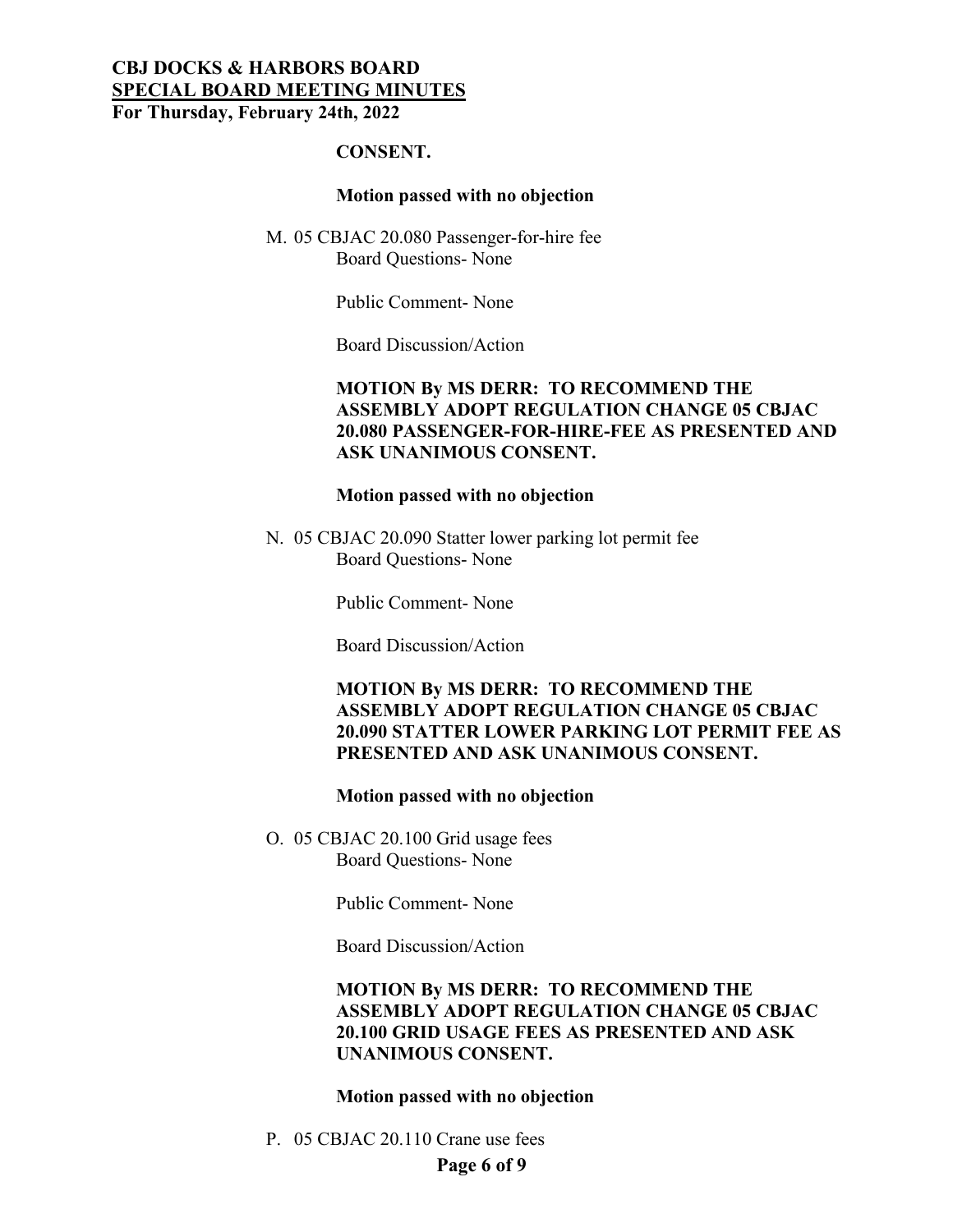#### **CONSENT.**

#### **Motion passed with no objection**

M. 05 CBJAC 20.080 Passenger-for-hire fee Board Questions- None

Public Comment- None

Board Discussion/Action

### **MOTION By MS DERR: TO RECOMMEND THE ASSEMBLY ADOPT REGULATION CHANGE 05 CBJAC 20.080 PASSENGER-FOR-HIRE-FEE AS PRESENTED AND ASK UNANIMOUS CONSENT.**

#### **Motion passed with no objection**

N. 05 CBJAC 20.090 Statter lower parking lot permit fee Board Questions- None

Public Comment- None

Board Discussion/Action

### **MOTION By MS DERR: TO RECOMMEND THE ASSEMBLY ADOPT REGULATION CHANGE 05 CBJAC 20.090 STATTER LOWER PARKING LOT PERMIT FEE AS PRESENTED AND ASK UNANIMOUS CONSENT.**

#### **Motion passed with no objection**

O. 05 CBJAC 20.100 Grid usage fees Board Questions- None

Public Comment- None

Board Discussion/Action

### **MOTION By MS DERR: TO RECOMMEND THE ASSEMBLY ADOPT REGULATION CHANGE 05 CBJAC 20.100 GRID USAGE FEES AS PRESENTED AND ASK UNANIMOUS CONSENT.**

#### **Motion passed with no objection**

**Page 6 of 9** P. 05 CBJAC 20.110 Crane use fees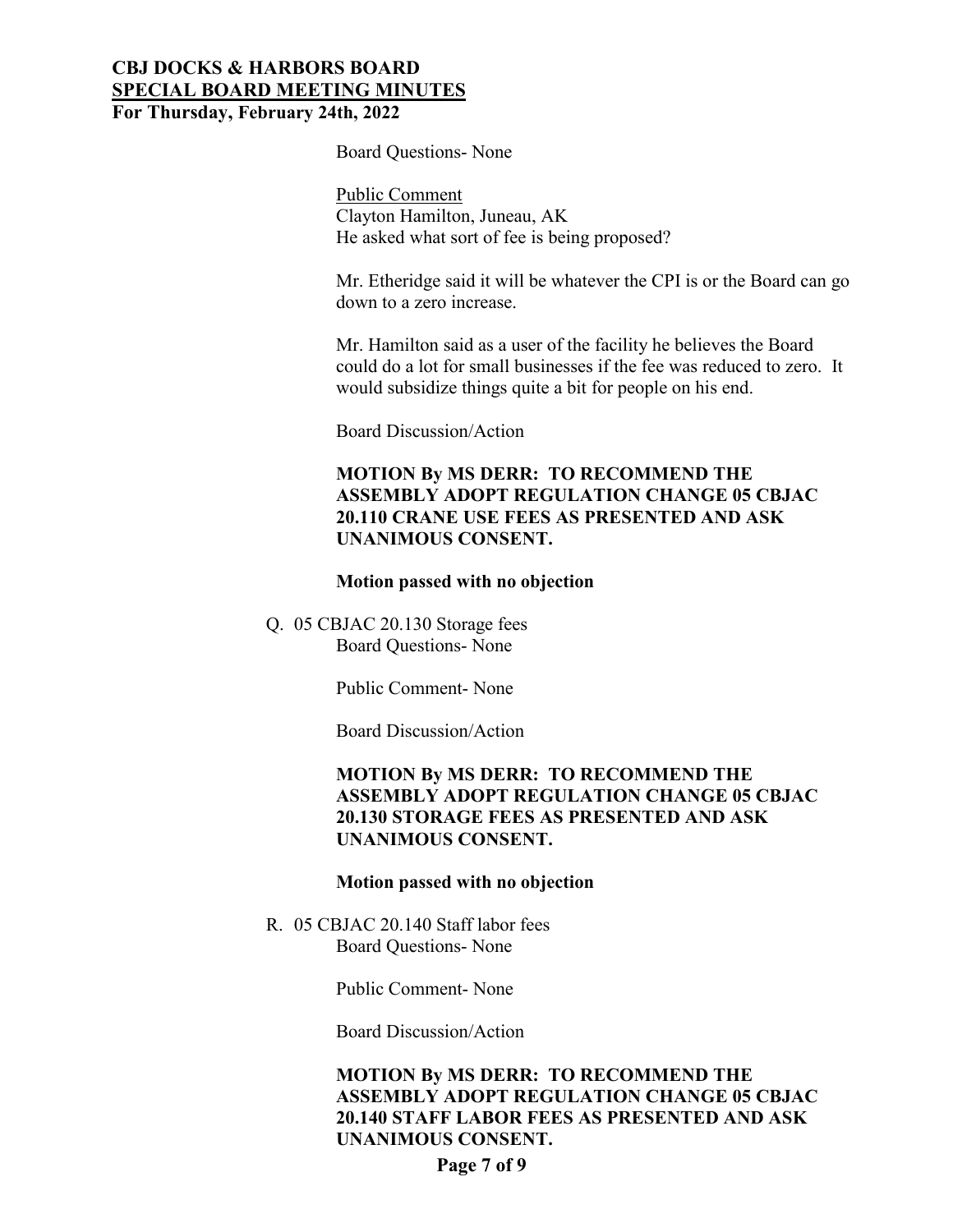Board Questions- None

Public Comment Clayton Hamilton, Juneau, AK He asked what sort of fee is being proposed?

Mr. Etheridge said it will be whatever the CPI is or the Board can go down to a zero increase.

Mr. Hamilton said as a user of the facility he believes the Board could do a lot for small businesses if the fee was reduced to zero. It would subsidize things quite a bit for people on his end.

Board Discussion/Action

### **MOTION By MS DERR: TO RECOMMEND THE ASSEMBLY ADOPT REGULATION CHANGE 05 CBJAC 20.110 CRANE USE FEES AS PRESENTED AND ASK UNANIMOUS CONSENT.**

#### **Motion passed with no objection**

Q. 05 CBJAC 20.130 Storage fees Board Questions- None

Public Comment- None

Board Discussion/Action

### **MOTION By MS DERR: TO RECOMMEND THE ASSEMBLY ADOPT REGULATION CHANGE 05 CBJAC 20.130 STORAGE FEES AS PRESENTED AND ASK UNANIMOUS CONSENT.**

#### **Motion passed with no objection**

R. 05 CBJAC 20.140 Staff labor fees Board Questions- None

Public Comment- None

Board Discussion/Action

# **MOTION By MS DERR: TO RECOMMEND THE ASSEMBLY ADOPT REGULATION CHANGE 05 CBJAC 20.140 STAFF LABOR FEES AS PRESENTED AND ASK UNANIMOUS CONSENT.**

**Page 7 of 9**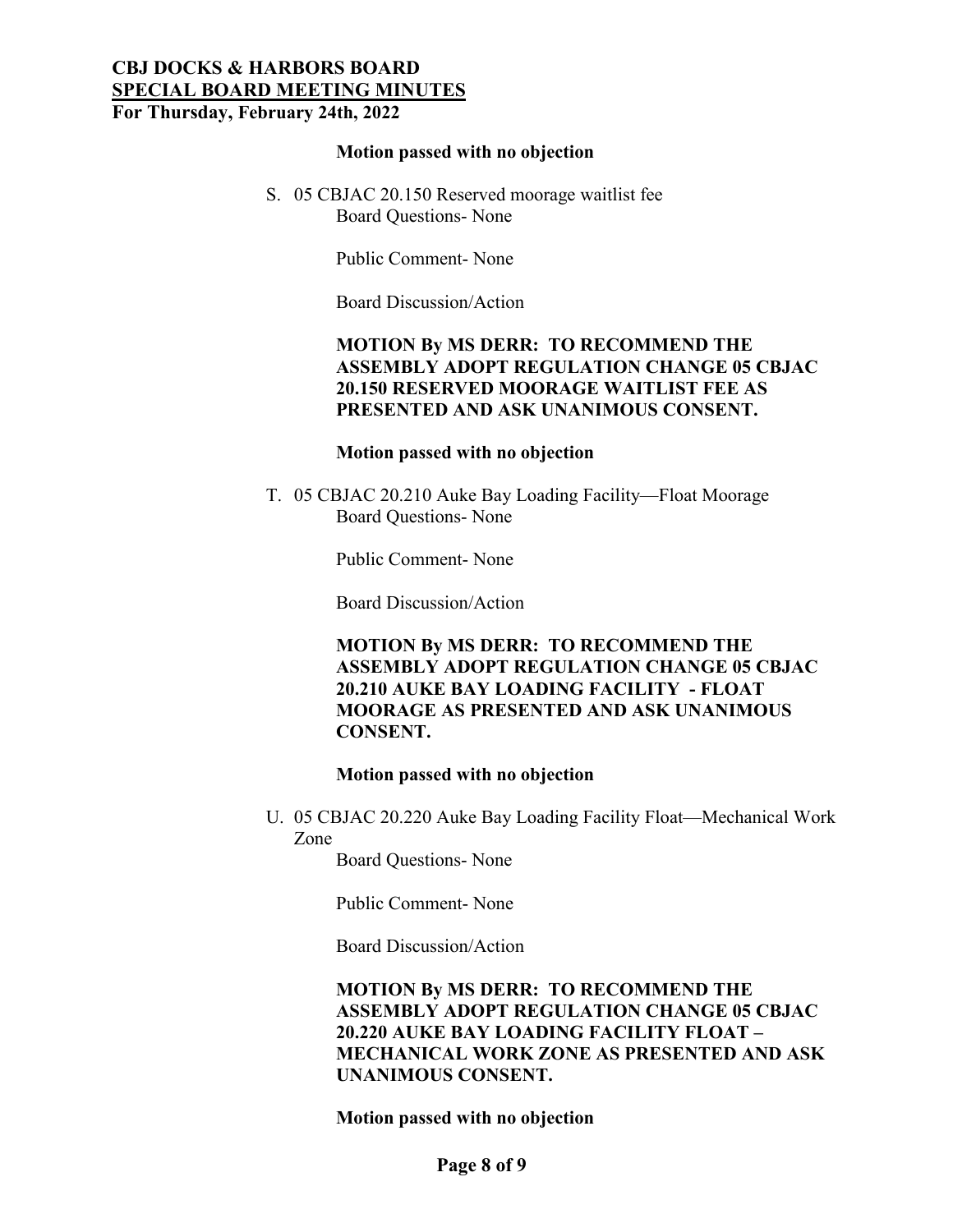#### **Motion passed with no objection**

S. 05 CBJAC 20.150 Reserved moorage waitlist fee Board Questions- None

Public Comment- None

Board Discussion/Action

### **MOTION By MS DERR: TO RECOMMEND THE ASSEMBLY ADOPT REGULATION CHANGE 05 CBJAC 20.150 RESERVED MOORAGE WAITLIST FEE AS PRESENTED AND ASK UNANIMOUS CONSENT.**

#### **Motion passed with no objection**

T. 05 CBJAC 20.210 Auke Bay Loading Facility—Float Moorage Board Questions- None

Public Comment- None

Board Discussion/Action

**MOTION By MS DERR: TO RECOMMEND THE ASSEMBLY ADOPT REGULATION CHANGE 05 CBJAC 20.210 AUKE BAY LOADING FACILITY - FLOAT MOORAGE AS PRESENTED AND ASK UNANIMOUS CONSENT.**

#### **Motion passed with no objection**

U. 05 CBJAC 20.220 Auke Bay Loading Facility Float—Mechanical Work Zone

Board Questions- None

Public Comment- None

Board Discussion/Action

**MOTION By MS DERR: TO RECOMMEND THE ASSEMBLY ADOPT REGULATION CHANGE 05 CBJAC 20.220 AUKE BAY LOADING FACILITY FLOAT – MECHANICAL WORK ZONE AS PRESENTED AND ASK UNANIMOUS CONSENT.**

**Motion passed with no objection**